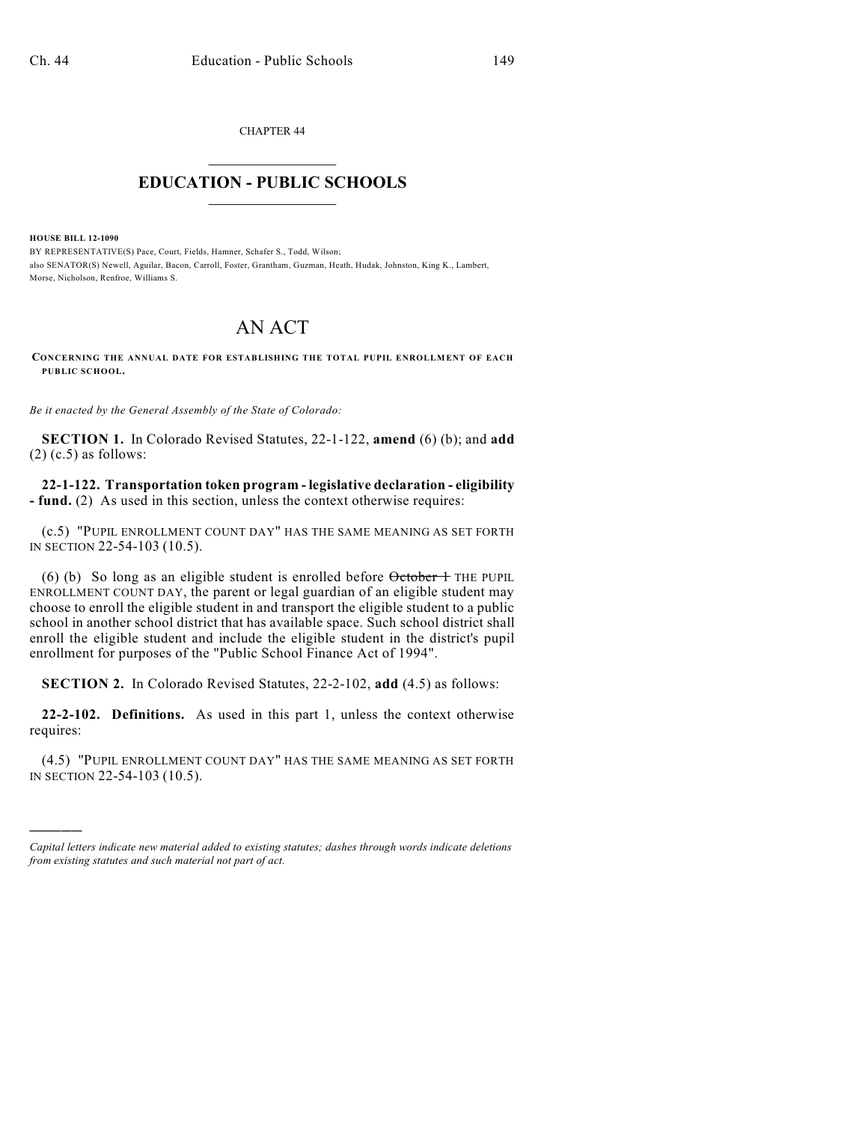CHAPTER 44  $\overline{\phantom{a}}$  . The set of the set of the set of the set of the set of the set of the set of the set of the set of the set of the set of the set of the set of the set of the set of the set of the set of the set of the set o

## **EDUCATION - PUBLIC SCHOOLS**  $\_$   $\_$   $\_$   $\_$   $\_$   $\_$   $\_$   $\_$   $\_$

**HOUSE BILL 12-1090**

)))))

BY REPRESENTATIVE(S) Pace, Court, Fields, Hamner, Schafer S., Todd, Wilson; also SENATOR(S) Newell, Aguilar, Bacon, Carroll, Foster, Grantham, Guzman, Heath, Hudak, Johnston, King K., Lambert, Morse, Nicholson, Renfroe, Williams S.

## AN ACT

**CONCERNING THE ANNUAL DATE FOR ESTABLISHING THE TOTAL PUPIL ENROLLMENT OF EACH PUBLIC SCHOOL.**

*Be it enacted by the General Assembly of the State of Colorado:*

**SECTION 1.** In Colorado Revised Statutes, 22-1-122, **amend** (6) (b); and **add**  $(2)$  (c.5) as follows:

**22-1-122. Transportation token program - legislative declaration - eligibility - fund.** (2) As used in this section, unless the context otherwise requires:

(c.5) "PUPIL ENROLLMENT COUNT DAY" HAS THE SAME MEANING AS SET FORTH IN SECTION 22-54-103 (10.5).

(6) (b) So long as an eligible student is enrolled before  $\theta$ ctober 1 THE PUPIL ENROLLMENT COUNT DAY, the parent or legal guardian of an eligible student may choose to enroll the eligible student in and transport the eligible student to a public school in another school district that has available space. Such school district shall enroll the eligible student and include the eligible student in the district's pupil enrollment for purposes of the "Public School Finance Act of 1994".

**SECTION 2.** In Colorado Revised Statutes, 22-2-102, **add** (4.5) as follows:

**22-2-102. Definitions.** As used in this part 1, unless the context otherwise requires:

(4.5) "PUPIL ENROLLMENT COUNT DAY" HAS THE SAME MEANING AS SET FORTH IN SECTION 22-54-103 (10.5).

*Capital letters indicate new material added to existing statutes; dashes through words indicate deletions from existing statutes and such material not part of act.*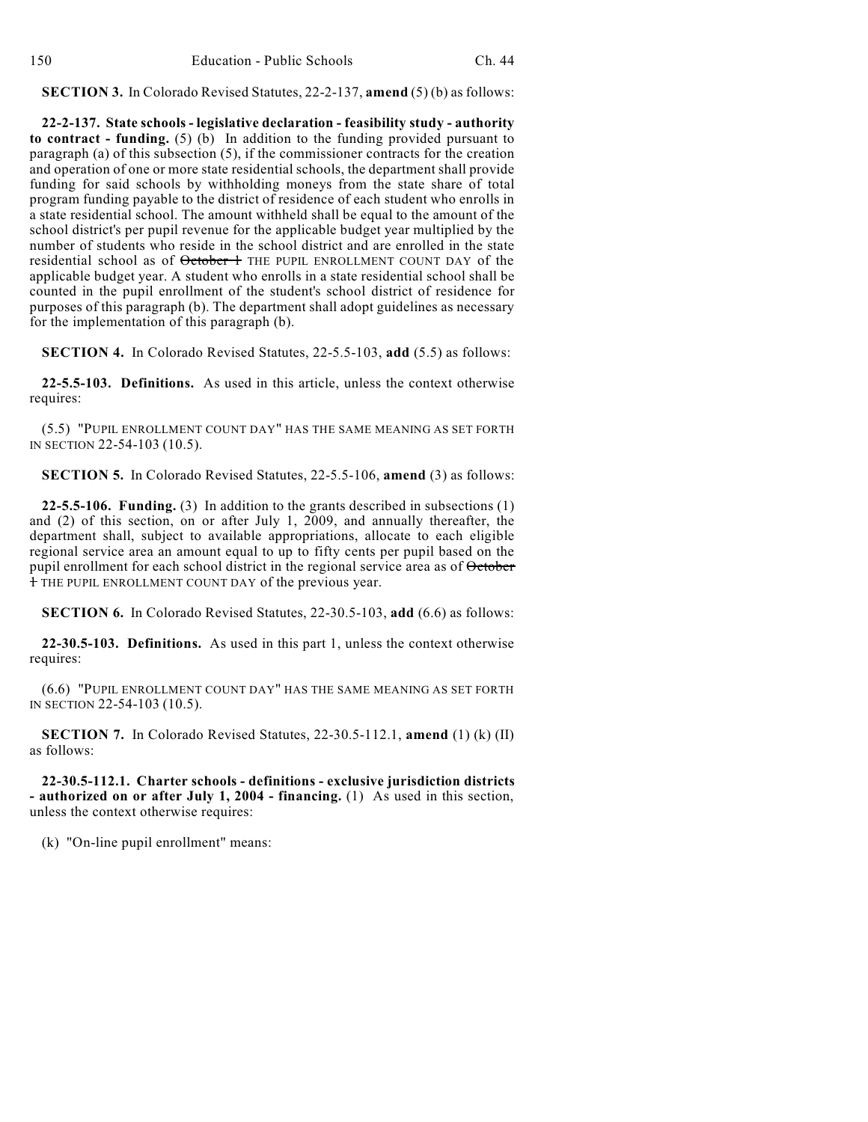**SECTION 3.** In Colorado Revised Statutes, 22-2-137, **amend** (5) (b) as follows:

**22-2-137. State schools - legislative declaration - feasibility study - authority to contract - funding.** (5) (b) In addition to the funding provided pursuant to paragraph (a) of this subsection (5), if the commissioner contracts for the creation and operation of one or more state residential schools, the department shall provide funding for said schools by withholding moneys from the state share of total program funding payable to the district of residence of each student who enrolls in a state residential school. The amount withheld shall be equal to the amount of the school district's per pupil revenue for the applicable budget year multiplied by the number of students who reside in the school district and are enrolled in the state residential school as of October 1 THE PUPIL ENROLLMENT COUNT DAY of the applicable budget year. A student who enrolls in a state residential school shall be counted in the pupil enrollment of the student's school district of residence for purposes of this paragraph (b). The department shall adopt guidelines as necessary for the implementation of this paragraph (b).

**SECTION 4.** In Colorado Revised Statutes, 22-5.5-103, **add** (5.5) as follows:

**22-5.5-103. Definitions.** As used in this article, unless the context otherwise requires:

(5.5) "PUPIL ENROLLMENT COUNT DAY" HAS THE SAME MEANING AS SET FORTH IN SECTION 22-54-103 (10.5).

**SECTION 5.** In Colorado Revised Statutes, 22-5.5-106, **amend** (3) as follows:

**22-5.5-106. Funding.** (3) In addition to the grants described in subsections (1) and (2) of this section, on or after July 1, 2009, and annually thereafter, the department shall, subject to available appropriations, allocate to each eligible regional service area an amount equal to up to fifty cents per pupil based on the pupil enrollment for each school district in the regional service area as of October 1 THE PUPIL ENROLLMENT COUNT DAY of the previous year.

**SECTION 6.** In Colorado Revised Statutes, 22-30.5-103, **add** (6.6) as follows:

**22-30.5-103. Definitions.** As used in this part 1, unless the context otherwise requires:

(6.6) "PUPIL ENROLLMENT COUNT DAY" HAS THE SAME MEANING AS SET FORTH IN SECTION 22-54-103 (10.5).

**SECTION 7.** In Colorado Revised Statutes, 22-30.5-112.1, **amend** (1) (k) (II) as follows:

**22-30.5-112.1. Charter schools - definitions - exclusive jurisdiction districts - authorized on or after July 1, 2004 - financing.** (1) As used in this section, unless the context otherwise requires:

(k) "On-line pupil enrollment" means: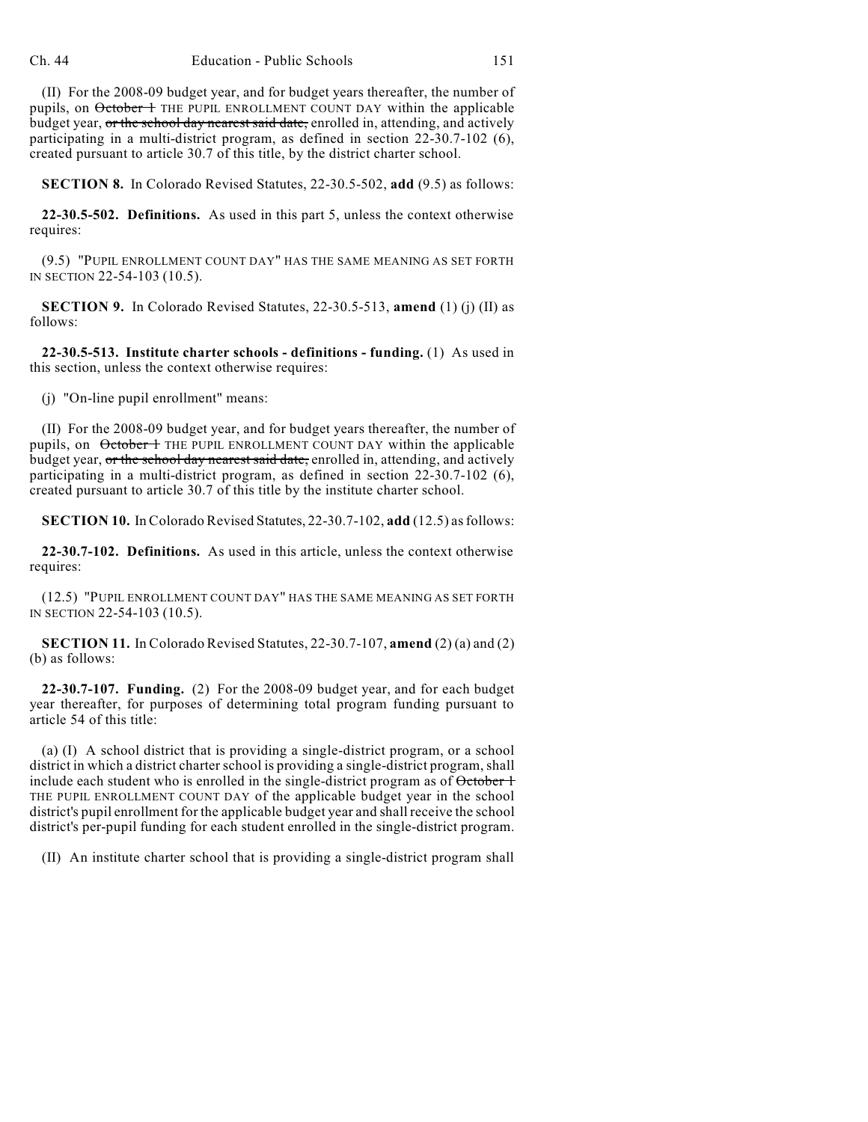(II) For the 2008-09 budget year, and for budget years thereafter, the number of pupils, on October 1 THE PUPIL ENROLLMENT COUNT DAY within the applicable budget year, or the school day nearest said date, enrolled in, attending, and actively participating in a multi-district program, as defined in section 22-30.7-102 (6), created pursuant to article 30.7 of this title, by the district charter school.

**SECTION 8.** In Colorado Revised Statutes, 22-30.5-502, **add** (9.5) as follows:

**22-30.5-502. Definitions.** As used in this part 5, unless the context otherwise requires:

(9.5) "PUPIL ENROLLMENT COUNT DAY" HAS THE SAME MEANING AS SET FORTH IN SECTION 22-54-103 (10.5).

**SECTION 9.** In Colorado Revised Statutes, 22-30.5-513, **amend** (1) (j) (II) as follows:

**22-30.5-513. Institute charter schools - definitions - funding.** (1) As used in this section, unless the context otherwise requires:

(j) "On-line pupil enrollment" means:

(II) For the 2008-09 budget year, and for budget years thereafter, the number of pupils, on October 1 THE PUPIL ENROLLMENT COUNT DAY within the applicable budget year, or the school day nearest said date, enrolled in, attending, and actively participating in a multi-district program, as defined in section 22-30.7-102 (6), created pursuant to article 30.7 of this title by the institute charter school.

**SECTION 10.** In Colorado Revised Statutes, 22-30.7-102, **add** (12.5) asfollows:

**22-30.7-102. Definitions.** As used in this article, unless the context otherwise requires:

(12.5) "PUPIL ENROLLMENT COUNT DAY" HAS THE SAME MEANING AS SET FORTH IN SECTION 22-54-103 (10.5).

**SECTION 11.** In Colorado Revised Statutes, 22-30.7-107, **amend** (2) (a) and (2) (b) as follows:

**22-30.7-107. Funding.** (2) For the 2008-09 budget year, and for each budget year thereafter, for purposes of determining total program funding pursuant to article 54 of this title:

(a) (I) A school district that is providing a single-district program, or a school district in which a district charter school is providing a single-district program, shall include each student who is enrolled in the single-district program as of  $\theta$ ctober  $\theta$ THE PUPIL ENROLLMENT COUNT DAY of the applicable budget year in the school district's pupil enrollment for the applicable budget year and shall receive the school district's per-pupil funding for each student enrolled in the single-district program.

(II) An institute charter school that is providing a single-district program shall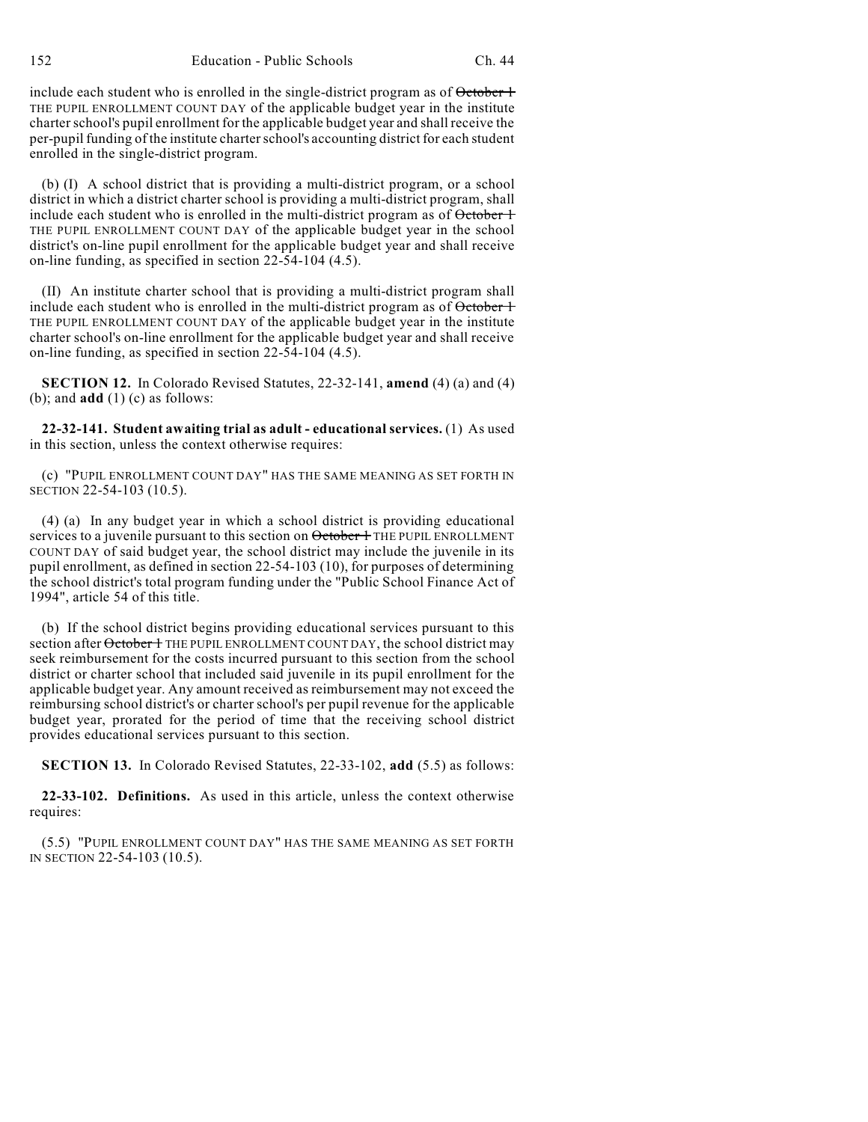152 Education - Public Schools Ch. 44

include each student who is enrolled in the single-district program as of  $\theta$ ctober  $+$ THE PUPIL ENROLLMENT COUNT DAY of the applicable budget year in the institute charterschool's pupil enrollment for the applicable budget year and shall receive the per-pupil funding of the institute charterschool's accounting district for each student enrolled in the single-district program.

(b) (I) A school district that is providing a multi-district program, or a school district in which a district charter school is providing a multi-district program, shall include each student who is enrolled in the multi-district program as of  $\theta$ ctober  $+$ THE PUPIL ENROLLMENT COUNT DAY of the applicable budget year in the school district's on-line pupil enrollment for the applicable budget year and shall receive on-line funding, as specified in section 22-54-104 (4.5).

(II) An institute charter school that is providing a multi-district program shall include each student who is enrolled in the multi-district program as of October 1 THE PUPIL ENROLLMENT COUNT DAY of the applicable budget year in the institute charter school's on-line enrollment for the applicable budget year and shall receive on-line funding, as specified in section 22-54-104 (4.5).

**SECTION 12.** In Colorado Revised Statutes, 22-32-141, **amend** (4) (a) and (4) (b); and **add** (1) (c) as follows:

**22-32-141. Student awaiting trial as adult - educational services.** (1) As used in this section, unless the context otherwise requires:

(c) "PUPIL ENROLLMENT COUNT DAY" HAS THE SAME MEANING AS SET FORTH IN SECTION 22-54-103 (10.5).

(4) (a) In any budget year in which a school district is providing educational services to a juvenile pursuant to this section on October 1 THE PUPIL ENROLLMENT COUNT DAY of said budget year, the school district may include the juvenile in its pupil enrollment, as defined in section 22-54-103 (10), for purposes of determining the school district's total program funding under the "Public School Finance Act of 1994", article 54 of this title.

(b) If the school district begins providing educational services pursuant to this section after October 1 THE PUPIL ENROLLMENT COUNT DAY, the school district may seek reimbursement for the costs incurred pursuant to this section from the school district or charter school that included said juvenile in its pupil enrollment for the applicable budget year. Any amount received as reimbursement may not exceed the reimbursing school district's or charter school's per pupil revenue for the applicable budget year, prorated for the period of time that the receiving school district provides educational services pursuant to this section.

**SECTION 13.** In Colorado Revised Statutes, 22-33-102, **add** (5.5) as follows:

**22-33-102. Definitions.** As used in this article, unless the context otherwise requires:

(5.5) "PUPIL ENROLLMENT COUNT DAY" HAS THE SAME MEANING AS SET FORTH IN SECTION 22-54-103 (10.5).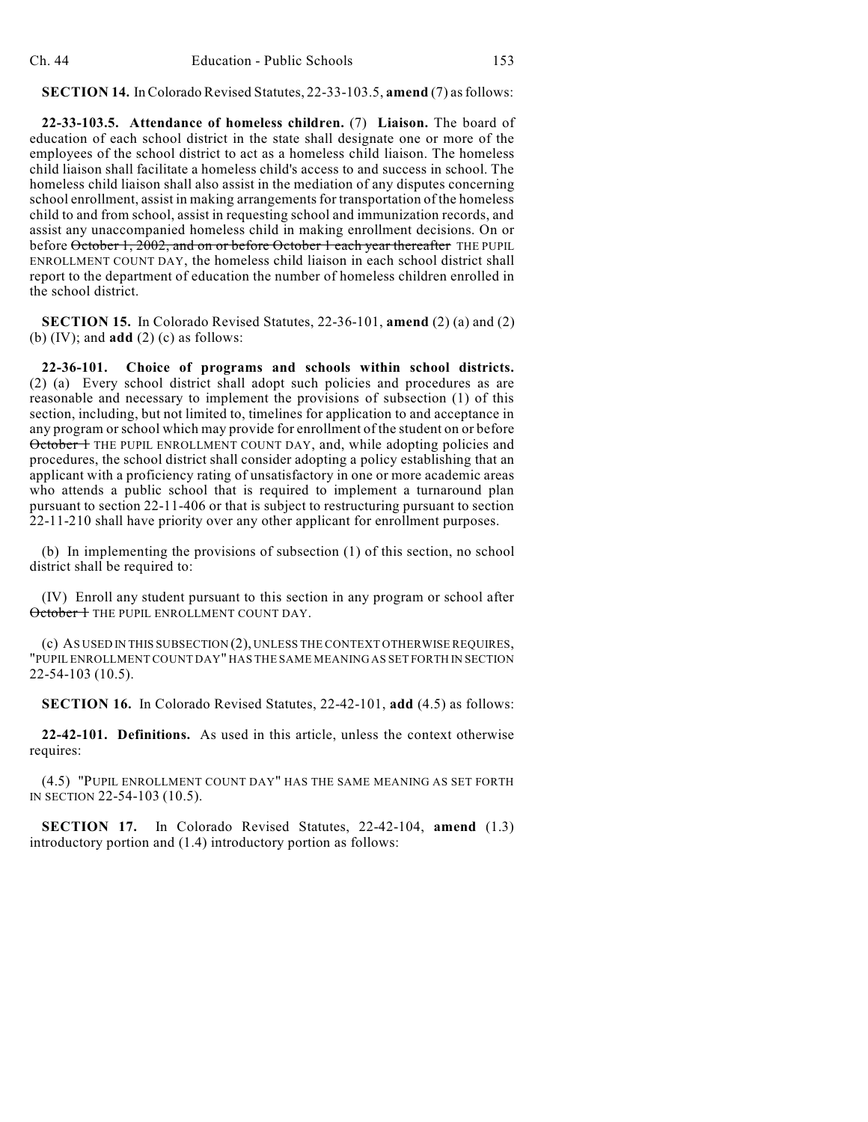## **SECTION 14.** InColorado Revised Statutes, 22-33-103.5, **amend** (7) asfollows:

**22-33-103.5. Attendance of homeless children.** (7) **Liaison.** The board of education of each school district in the state shall designate one or more of the employees of the school district to act as a homeless child liaison. The homeless child liaison shall facilitate a homeless child's access to and success in school. The homeless child liaison shall also assist in the mediation of any disputes concerning school enrollment, assist in making arrangements for transportation of the homeless child to and from school, assist in requesting school and immunization records, and assist any unaccompanied homeless child in making enrollment decisions. On or before October 1, 2002, and on or before October 1 each year thereafter THE PUPIL ENROLLMENT COUNT DAY, the homeless child liaison in each school district shall report to the department of education the number of homeless children enrolled in the school district.

**SECTION 15.** In Colorado Revised Statutes, 22-36-101, **amend** (2) (a) and (2) (b) (IV); and **add** (2) (c) as follows:

**22-36-101. Choice of programs and schools within school districts.** (2) (a) Every school district shall adopt such policies and procedures as are reasonable and necessary to implement the provisions of subsection (1) of this section, including, but not limited to, timelines for application to and acceptance in any program or school which may provide for enrollment of the student on or before October 1 THE PUPIL ENROLLMENT COUNT DAY, and, while adopting policies and procedures, the school district shall consider adopting a policy establishing that an applicant with a proficiency rating of unsatisfactory in one or more academic areas who attends a public school that is required to implement a turnaround plan pursuant to section 22-11-406 or that is subject to restructuring pursuant to section 22-11-210 shall have priority over any other applicant for enrollment purposes.

(b) In implementing the provisions of subsection (1) of this section, no school district shall be required to:

(IV) Enroll any student pursuant to this section in any program or school after October 1 THE PUPIL ENROLLMENT COUNT DAY.

(c) AS USED IN THIS SUBSECTION (2), UNLESS THE CONTEXT OTHERWISE REQUIRES, "PUPIL ENROLLMENT COUNT DAY" HAS THE SAME MEANING AS SET FORTH IN SECTION 22-54-103 (10.5).

**SECTION 16.** In Colorado Revised Statutes, 22-42-101, **add** (4.5) as follows:

**22-42-101. Definitions.** As used in this article, unless the context otherwise requires:

(4.5) "PUPIL ENROLLMENT COUNT DAY" HAS THE SAME MEANING AS SET FORTH IN SECTION 22-54-103 (10.5).

**SECTION 17.** In Colorado Revised Statutes, 22-42-104, **amend** (1.3) introductory portion and (1.4) introductory portion as follows: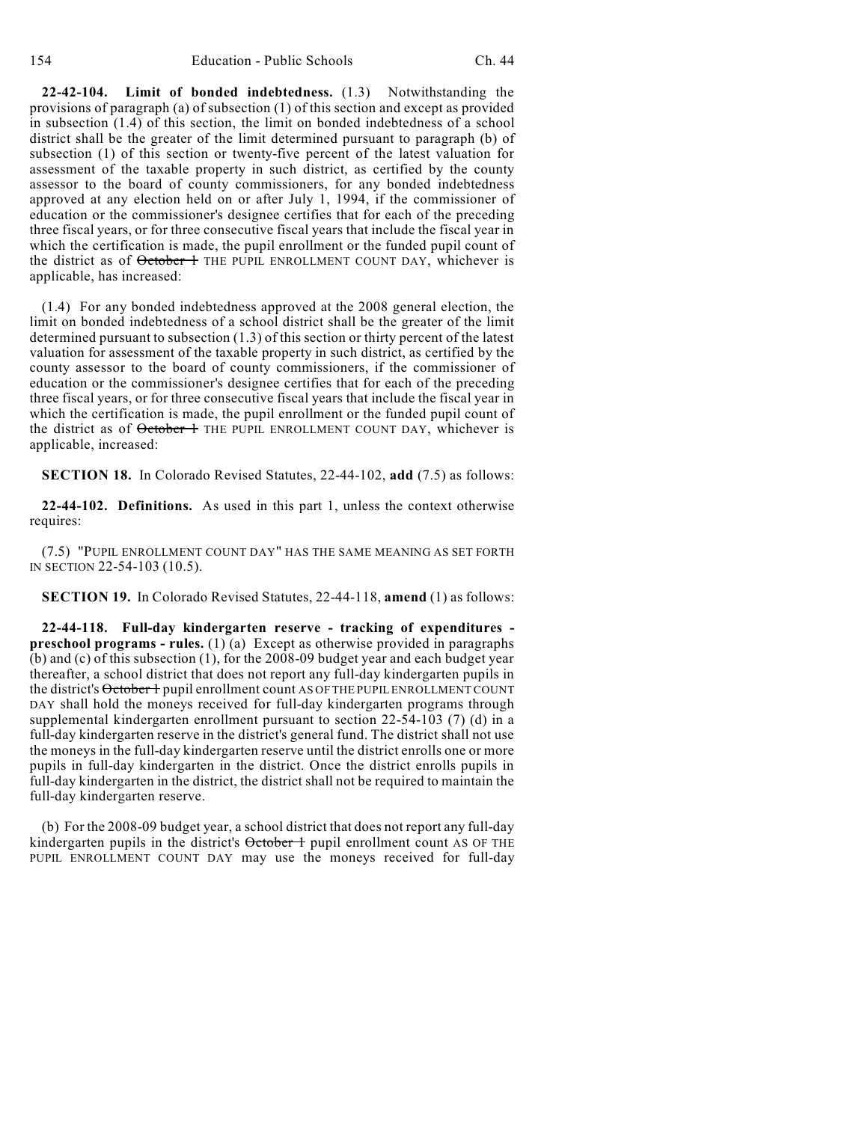**22-42-104. Limit of bonded indebtedness.** (1.3) Notwithstanding the provisions of paragraph (a) of subsection (1) of this section and except as provided in subsection (1.4) of this section, the limit on bonded indebtedness of a school district shall be the greater of the limit determined pursuant to paragraph (b) of subsection (1) of this section or twenty-five percent of the latest valuation for assessment of the taxable property in such district, as certified by the county assessor to the board of county commissioners, for any bonded indebtedness approved at any election held on or after July 1, 1994, if the commissioner of education or the commissioner's designee certifies that for each of the preceding three fiscal years, or for three consecutive fiscal years that include the fiscal year in which the certification is made, the pupil enrollment or the funded pupil count of the district as of October 1 THE PUPIL ENROLLMENT COUNT DAY, whichever is applicable, has increased:

(1.4) For any bonded indebtedness approved at the 2008 general election, the limit on bonded indebtedness of a school district shall be the greater of the limit determined pursuant to subsection (1.3) of this section or thirty percent of the latest valuation for assessment of the taxable property in such district, as certified by the county assessor to the board of county commissioners, if the commissioner of education or the commissioner's designee certifies that for each of the preceding three fiscal years, or for three consecutive fiscal years that include the fiscal year in which the certification is made, the pupil enrollment or the funded pupil count of the district as of October 1 THE PUPIL ENROLLMENT COUNT DAY, whichever is applicable, increased:

**SECTION 18.** In Colorado Revised Statutes, 22-44-102, **add** (7.5) as follows:

**22-44-102. Definitions.** As used in this part 1, unless the context otherwise requires:

(7.5) "PUPIL ENROLLMENT COUNT DAY" HAS THE SAME MEANING AS SET FORTH IN SECTION 22-54-103 (10.5).

**SECTION 19.** In Colorado Revised Statutes, 22-44-118, **amend** (1) as follows:

**22-44-118. Full-day kindergarten reserve - tracking of expenditures preschool programs - rules.** (1) (a) Except as otherwise provided in paragraphs (b) and (c) of this subsection (1), for the 2008-09 budget year and each budget year thereafter, a school district that does not report any full-day kindergarten pupils in the district's October + pupil enrollment count AS OF THE PUPIL ENROLLMENT COUNT DAY shall hold the moneys received for full-day kindergarten programs through supplemental kindergarten enrollment pursuant to section 22-54-103 (7) (d) in a full-day kindergarten reserve in the district's general fund. The district shall not use the moneys in the full-day kindergarten reserve until the district enrolls one or more pupils in full-day kindergarten in the district. Once the district enrolls pupils in full-day kindergarten in the district, the district shall not be required to maintain the full-day kindergarten reserve.

(b) For the 2008-09 budget year, a school district that does not report any full-day kindergarten pupils in the district's October 1 pupil enrollment count AS OF THE PUPIL ENROLLMENT COUNT DAY may use the moneys received for full-day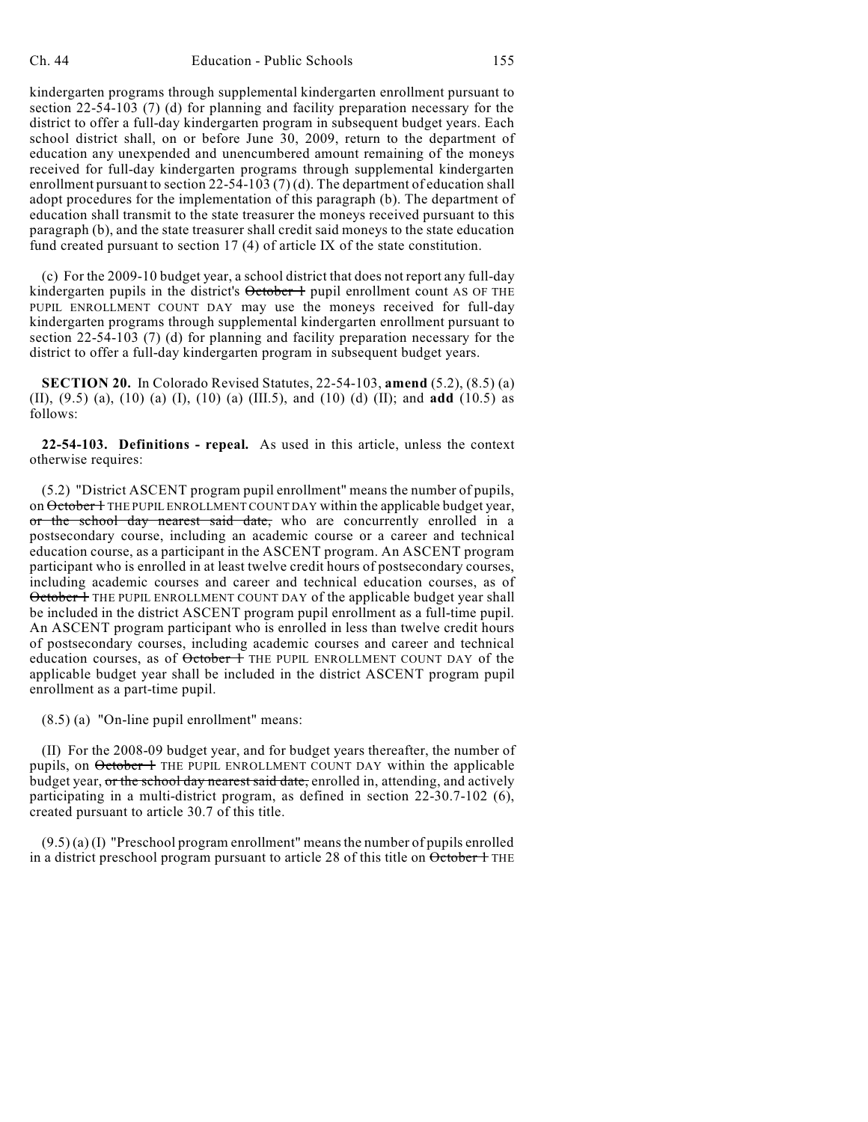kindergarten programs through supplemental kindergarten enrollment pursuant to section 22-54-103 (7) (d) for planning and facility preparation necessary for the district to offer a full-day kindergarten program in subsequent budget years. Each school district shall, on or before June 30, 2009, return to the department of education any unexpended and unencumbered amount remaining of the moneys received for full-day kindergarten programs through supplemental kindergarten enrollment pursuant to section 22-54-103 (7) (d). The department of education shall adopt procedures for the implementation of this paragraph (b). The department of education shall transmit to the state treasurer the moneys received pursuant to this paragraph (b), and the state treasurer shall credit said moneys to the state education fund created pursuant to section 17 (4) of article IX of the state constitution.

(c) For the 2009-10 budget year, a school district that does not report any full-day kindergarten pupils in the district's  $\theta$ ctober  $\theta$  pupil enrollment count AS OF THE PUPIL ENROLLMENT COUNT DAY may use the moneys received for full-day kindergarten programs through supplemental kindergarten enrollment pursuant to section 22-54-103 (7) (d) for planning and facility preparation necessary for the district to offer a full-day kindergarten program in subsequent budget years.

**SECTION 20.** In Colorado Revised Statutes, 22-54-103, **amend** (5.2), (8.5) (a) (II), (9.5) (a), (10) (a) (I), (10) (a) (III.5), and (10) (d) (II); and **add** (10.5) as follows:

**22-54-103. Definitions - repeal.** As used in this article, unless the context otherwise requires:

(5.2) "District ASCENT program pupil enrollment" means the number of pupils, on October 1 THE PUPIL ENROLLMENT COUNT DAY within the applicable budget year, or the school day nearest said date, who are concurrently enrolled in a postsecondary course, including an academic course or a career and technical education course, as a participant in the ASCENT program. An ASCENT program participant who is enrolled in at least twelve credit hours of postsecondary courses, including academic courses and career and technical education courses, as of October 1 THE PUPIL ENROLLMENT COUNT DAY of the applicable budget year shall be included in the district ASCENT program pupil enrollment as a full-time pupil. An ASCENT program participant who is enrolled in less than twelve credit hours of postsecondary courses, including academic courses and career and technical education courses, as of  $\theta$ ctober 1 THE PUPIL ENROLLMENT COUNT DAY of the applicable budget year shall be included in the district ASCENT program pupil enrollment as a part-time pupil.

(8.5) (a) "On-line pupil enrollment" means:

(II) For the 2008-09 budget year, and for budget years thereafter, the number of pupils, on October 1 THE PUPIL ENROLLMENT COUNT DAY within the applicable budget year, or the school day nearest said date, enrolled in, attending, and actively participating in a multi-district program, as defined in section 22-30.7-102 (6), created pursuant to article 30.7 of this title.

 $(9.5)$  (a) (I) "Preschool program enrollment" means the number of pupils enrolled in a district preschool program pursuant to article 28 of this title on  $\theta$ ctober 1 THE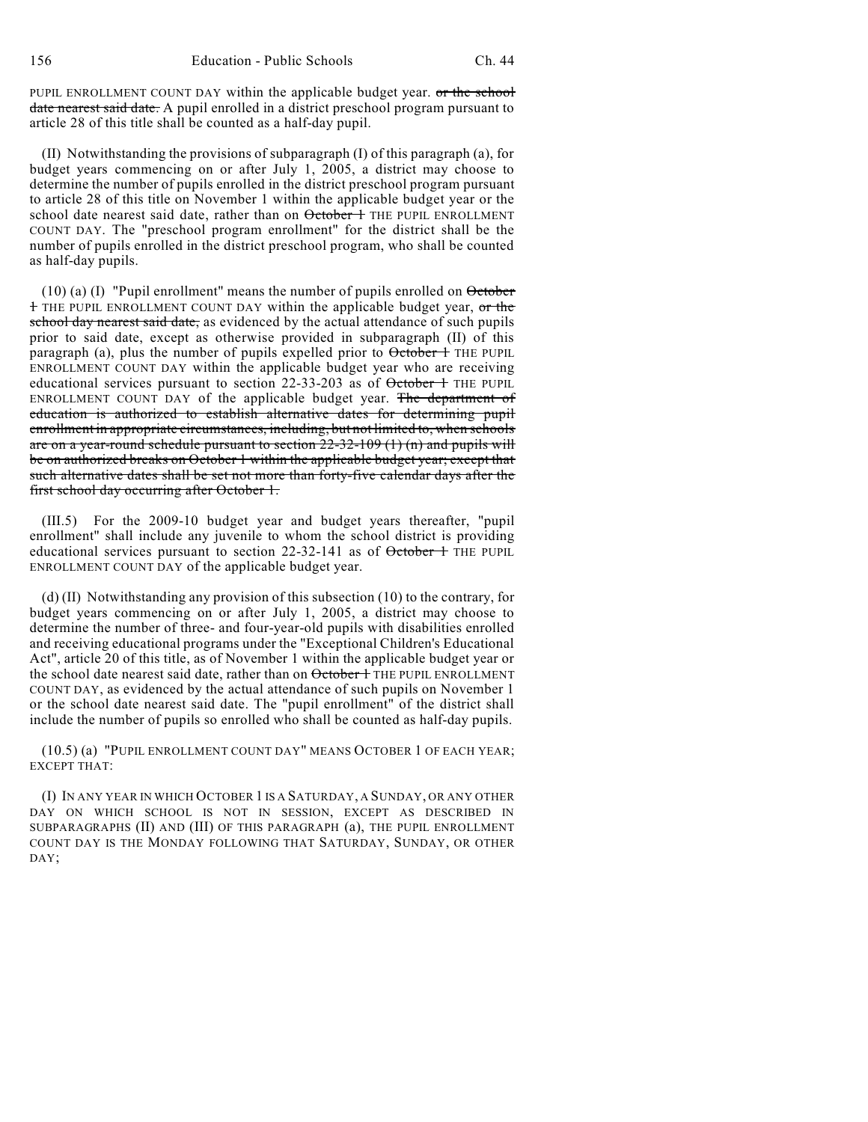PUPIL ENROLLMENT COUNT DAY within the applicable budget year. or the school date nearest said date. A pupil enrolled in a district preschool program pursuant to article 28 of this title shall be counted as a half-day pupil.

(II) Notwithstanding the provisions of subparagraph (I) of this paragraph (a), for budget years commencing on or after July 1, 2005, a district may choose to determine the number of pupils enrolled in the district preschool program pursuant to article 28 of this title on November 1 within the applicable budget year or the school date nearest said date, rather than on October 1 THE PUPIL ENROLLMENT COUNT DAY. The "preschool program enrollment" for the district shall be the number of pupils enrolled in the district preschool program, who shall be counted as half-day pupils.

 $(10)$  (a) (I) "Pupil enrollment" means the number of pupils enrolled on  $\theta$  or 1 THE PUPIL ENROLLMENT COUNT DAY within the applicable budget year, or the school day nearest said date, as evidenced by the actual attendance of such pupils prior to said date, except as otherwise provided in subparagraph (II) of this paragraph (a), plus the number of pupils expelled prior to October 1 THE PUPIL ENROLLMENT COUNT DAY within the applicable budget year who are receiving educational services pursuant to section 22-33-203 as of October 1 THE PUPIL ENROLLMENT COUNT DAY of the applicable budget year. The department of education is authorized to establish alternative dates for determining pupil enrollment in appropriate circumstances, including, but not limited to, when schools are on a year-round schedule pursuant to section  $22-32-109(1)$  (n) and pupils will be on authorized breaks on October 1 within the applicable budget year; except that such alternative dates shall be set not more than forty-five calendar days after the first school day occurring after October 1.

(III.5) For the 2009-10 budget year and budget years thereafter, "pupil enrollment" shall include any juvenile to whom the school district is providing educational services pursuant to section  $22-32-141$  as of  $\theta$ ctober 1 THE PUPIL ENROLLMENT COUNT DAY of the applicable budget year.

(d) (II) Notwithstanding any provision of this subsection (10) to the contrary, for budget years commencing on or after July 1, 2005, a district may choose to determine the number of three- and four-year-old pupils with disabilities enrolled and receiving educational programs under the "Exceptional Children's Educational Act", article 20 of this title, as of November 1 within the applicable budget year or the school date nearest said date, rather than on  $\theta$ ctober 1 THE PUPIL ENROLLMENT COUNT DAY, as evidenced by the actual attendance of such pupils on November 1 or the school date nearest said date. The "pupil enrollment" of the district shall include the number of pupils so enrolled who shall be counted as half-day pupils.

(10.5) (a) "PUPIL ENROLLMENT COUNT DAY" MEANS OCTOBER 1 OF EACH YEAR; EXCEPT THAT:

(I) IN ANY YEAR IN WHICH OCTOBER 1 IS A SATURDAY, A SUNDAY, OR ANY OTHER DAY ON WHICH SCHOOL IS NOT IN SESSION, EXCEPT AS DESCRIBED IN SUBPARAGRAPHS (II) AND (III) OF THIS PARAGRAPH (a), THE PUPIL ENROLLMENT COUNT DAY IS THE MONDAY FOLLOWING THAT SATURDAY, SUNDAY, OR OTHER DAY;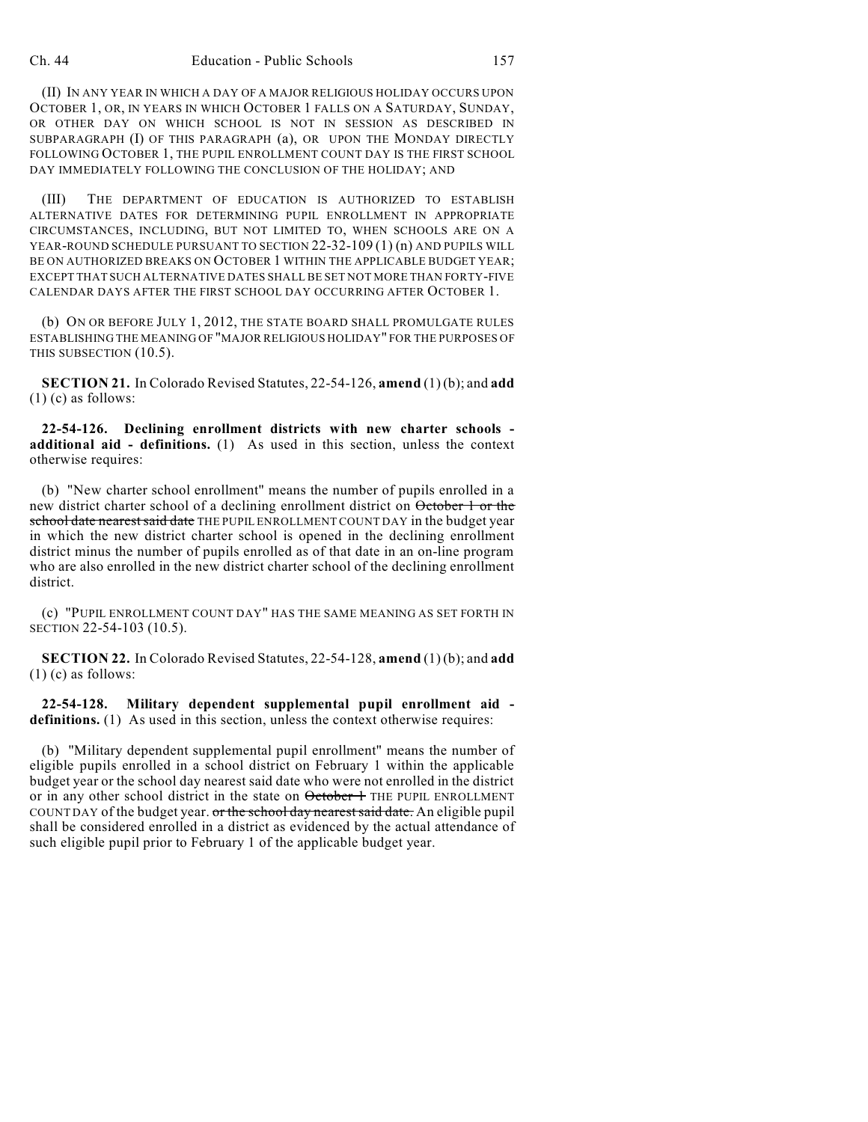(II) IN ANY YEAR IN WHICH A DAY OF A MAJOR RELIGIOUS HOLIDAY OCCURS UPON OCTOBER 1, OR, IN YEARS IN WHICH OCTOBER 1 FALLS ON A SATURDAY, SUNDAY, OR OTHER DAY ON WHICH SCHOOL IS NOT IN SESSION AS DESCRIBED IN SUBPARAGRAPH (I) OF THIS PARAGRAPH (a), OR UPON THE MONDAY DIRECTLY FOLLOWING OCTOBER 1, THE PUPIL ENROLLMENT COUNT DAY IS THE FIRST SCHOOL DAY IMMEDIATELY FOLLOWING THE CONCLUSION OF THE HOLIDAY; AND

(III) THE DEPARTMENT OF EDUCATION IS AUTHORIZED TO ESTABLISH ALTERNATIVE DATES FOR DETERMINING PUPIL ENROLLMENT IN APPROPRIATE CIRCUMSTANCES, INCLUDING, BUT NOT LIMITED TO, WHEN SCHOOLS ARE ON A YEAR-ROUND SCHEDULE PURSUANT TO SECTION 22-32-109 (1) (n) AND PUPILS WILL BE ON AUTHORIZED BREAKS ON OCTOBER 1 WITHIN THE APPLICABLE BUDGET YEAR; EXCEPT THAT SUCH ALTERNATIVE DATES SHALL BE SET NOT MORE THAN FORTY-FIVE CALENDAR DAYS AFTER THE FIRST SCHOOL DAY OCCURRING AFTER OCTOBER 1.

(b) ON OR BEFORE JULY 1, 2012, THE STATE BOARD SHALL PROMULGATE RULES ESTABLISHING THE MEANING OF "MAJOR RELIGIOUS HOLIDAY" FOR THE PURPOSES OF THIS SUBSECTION (10.5).

**SECTION 21.** In Colorado Revised Statutes, 22-54-126, **amend** (1) (b); and **add** (1) (c) as follows:

**22-54-126. Declining enrollment districts with new charter schools additional aid - definitions.** (1) As used in this section, unless the context otherwise requires:

(b) "New charter school enrollment" means the number of pupils enrolled in a new district charter school of a declining enrollment district on October 1 or the school date nearest said date THE PUPIL ENROLLMENT COUNT DAY in the budget year in which the new district charter school is opened in the declining enrollment district minus the number of pupils enrolled as of that date in an on-line program who are also enrolled in the new district charter school of the declining enrollment district.

(c) "PUPIL ENROLLMENT COUNT DAY" HAS THE SAME MEANING AS SET FORTH IN SECTION 22-54-103 (10.5).

**SECTION 22.** In Colorado Revised Statutes, 22-54-128, **amend** (1) (b); and **add**  $(1)$  (c) as follows:

**22-54-128. Military dependent supplemental pupil enrollment aid**  definitions. (1) As used in this section, unless the context otherwise requires:

(b) "Military dependent supplemental pupil enrollment" means the number of eligible pupils enrolled in a school district on February 1 within the applicable budget year or the school day nearest said date who were not enrolled in the district or in any other school district in the state on  $\theta$ ctober 1 THE PUPIL ENROLLMENT COUNT DAY of the budget year. or the school day nearest said date. An eligible pupil shall be considered enrolled in a district as evidenced by the actual attendance of such eligible pupil prior to February 1 of the applicable budget year.